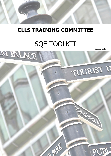

# **CLLS TRAINING COMMITTEE**

# SQE TOOLKIT

October 2018

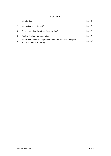# **CONTENTS**

| 1. | Introduction                                                                                       | Page 2  |
|----|----------------------------------------------------------------------------------------------------|---------|
| 2. | Information about the SQE                                                                          | Page 3  |
| 3. | Questions for law firms to navigate the SQE                                                        | Page 6  |
| 4. | Possible timelines for qualification                                                               | Page 9  |
| 5. | Information from training providers about the approach they plan<br>to take in relation to the SQE | Page 10 |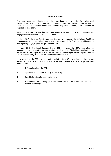#### **INTRODUCTION**

Discussions about legal education and training have been taking place since 2011 when work started on the Legal Education and Training Review (LETR). A formal report was delivered in June 2013 and in the same month the Solicitors Regulation Authority (SRA) published its response to the report.

Since then the SRA has published proposals, undertaken various consultation exercises and engaged with stakeholders, providers and others.

In April 2017, the SRA Board took the decision to introduce the Solicitors Qualifying Examination (SQE), a centralised assessment. SQE stage 1 (SQE1) will test legal knowledge and SQE stage 2 (SQE2) will test professional skills.

In March 2018, the Legal Services Board (LSB) approved the SRA's application for amendments to its regulatory arrangements for authorisation of individuals, paving the way for the SRA to put in place the SQE regime. Further rule changes will be required and the SRA expects to apply to the LSB for approval for these in 2019.

In the meantime, the SRA is working on the basis that the SQE may be introduced as early as September 2020. The CLLS Training Committee has prepared this paper to provide CLLS members with:

- 1. Information about the SQE;
- 2. Questions for law firms to navigate the SQE;
- 3. Possible timelines for qualification; and
- 4. Information from training providers about the approach they plan to take in relation to the SQE.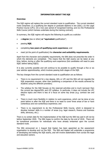#### **INFORMATION ABOUT THE SQE**

#### **Overview**

The SQE regime will replace the current standard route to qualification. The current standard route comprises: (i) a qualifying law degree or graduate diploma in law (GDL); (ii) the Legal Practice Course (LPC); (iii) a two year period of recognised training; and (iv) the Professional Skills Course (which trainees undertake during the training contract).

In summary, the SQE regime will require the following to qualify as a solicitor:

- a **degree** (law or other) **or "equivalent** qualification";
- passing **SQE**;
- completing **two years of qualifying work experience**; and
- meet (at the point of qualification) the **character and suitability requirements**.

Apart from the character and suitability requirements, the SRA does not prescribe the order in which the elements are completed. This means that the SQE exams can be taken at any time, before, during or after the qualifying work experience (but candidates will need to pass SQE1 before taking SQE2).

It is also currently possible and will continue to be possible to qualify through a five or six year solicitor apprenticeship, which involves passing both stages of the SQE.

The key changes from the current standard route to qualification are as follows:

- There is no requirement for a law degree, GDL or LPC and the SRA will not regulate the SQE preparation courses, other than publishing a comparison of the results achieved by students using the different providers;
- The syllabus for the SQE focuses on the reserved activities and is much narrower than the current law degree/GDL and LPC syllabus. In particular, it does not include the LPC elective topics and there is less of a focus on some key areas (e.g. contract law and tort);
- There is much more flexibility in relation to work experience, which can be done at any point before or after the SQE and there is no need to cover three areas of law or have contentious and non-contentious experience; and
- There is no requirement to do the Professional Skills Course, which is designed to develop trainees' skills in a number of areas (e.g. legal research, finance and business skills, advocacy, etc.).

There is no certain date for the implementation of the SQE but the SRA has said it will not be before September 2020. The SRA hopes to confirm the date by the end of 2018. There will be transitional provisions for individuals who have already embarked upon the current standard route.

The SRA announced on 1 August that Kaplan has been appointed as the assessment organisation to develop and run the SQE. The SRA and Kaplan will undertake a programme of developing and testing the SQE exams, and will involve stakeholders from across the legal and education sectors.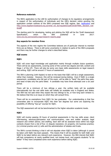#### **Reference materials**

The SRA's application to the LSB for authorisation of changes to its regulatory arrangements in respect of the authorisation of individuals and the LBS's decision notice granting the application contain outlines of the SRA's proposed new SQE regime. See: [Application](http://www.legalservicesboard.org.uk/what_we_do/regulation/pdf/2018/SQE_LSB_application_January_2018__v_1.0_FINAL.pdf) and [http://www.legalservicesboard.org.uk/what\\_we\\_do/regulation/pdf/2018/FINAL\\_decision\\_noti](http://www.legalservicesboard.org.uk/what_we_do/regulation/pdf/2018/FINAL_decision_notice.pdf) [ce.pdf](http://www.legalservicesboard.org.uk/what_we_do/regulation/pdf/2018/FINAL_decision_notice.pdf)

The starting point for developing, testing and piloting the SQE will be the 'Draft Assessment Specification', which the SRA published in June 2017: [www.sra.org.uk/sra/policy/sqe/research-reports.page](https://protect-eu.mimecast.com/s/RbMfCy81NIN90w3FMMP6V?domain=sra.org.uk)

#### **Key aspects for member firms**

The aspects of the new regime the Committee believes are of particular interest to member firms are as follows. There is still some uncertainty in relation to parts of the SRA's proposals and there may be further changes to what is described below.

#### **SQE exams**

#### **SQE1**

SQE1 will cover legal knowledge and application mainly through multiple choice questions. There will be six assessments, covering some of the current law degree and GDL content and Stage 1 of the LPC. There will also be some very basic skills assessments on legal research and writing. SQE1 will be around 17 hours of assessment.

The SRA is planning (with Kaplan) to test on the basis that SQE1 will be a single assessment, rather than modular. However, this will be reviewed during testing. Even if SQE1 is a single assessment, candidates who fail part of the exam, will be able to "bank" the parts they pass, and need re-take only the parts failed. A candidate may have three attempts over a six year period.

There will be a minimum of two sittings a year; the written tests will be available internationally but the oral skills tests will initially be available only in England and Wales. The SRA has not said when they expect the two sittings to be, or how long each window is. We believe that this is an issue on which they will consult firms.

There will be no exemptions from SQE1 for law graduates. Our understanding is that few universities plan to incorporate SQE1 into their law degrees but some are exploring the possibility of offering "top-up" courses for SQE1.

The SQE assessment will not be benchmarked to the higher education academic levels.

#### **SQE2**

SQE2 will involve passing 20 hours of practical assessments in five key skills areas: client interviewing; advocacy/persuasive oral communication; case and matter analysis; legal research and written advice; and drafting. Each skill will be assessed twice within two legal contexts chosen from a list of five: (i) dispute resolution; (ii) property; (iii) business practice; (iv) criminal practice and (v) wills and the administration of estates and trusts.

The SRA's current thinking is that it will not stipulate when SQE2 is taken (although it cannot be taken until SQE1 has been passed). This means that it will be possible for both SQE1 and SQE2 to be taken before any relevant work experience. However, the SRA intends that SQE2 will test competency at newly qualified level, not trainee level, and expects students "to do better" if they have completed some work experience before taking SQE2.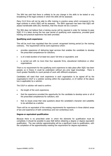The SRA has said that there is unlikely to be any change in the skills to be tested or any broadening of the legal contexts in which the skills will be assessed.

Many CLLS firms will not be able to offer training in practice areas which correspond to the legal contexts in which SQE2 will be assessed. The SRA's approach has been that SQE2 will assess transferable skills and, therefore, that this should not be a concern.

The SRA does not believe that a training course will be required in order for trainees to pass SQE2 if it is taken during the two year period of qualifying work experience, provided good training and practical experience has been provided.

#### **Qualifying work experience**

This will be much less regulated than the current *recognised training period* (or the training contract). The requirement will be work experience which:

- provides experience of delivering legal services that enables the candidate to develop the prescribed competences for solicitors;
- is of a total duration of at least two years' full time or equivalent; and
- is carried out with no more than four separate firms, educational institutions or other organisations.

There is no requirement for the qualifying work experience to take place after SQE1 has been passed, so in theory it could be undertaken without any prior legal knowledge. There is much greater flexibility to count periods of work with different employers.

Candidates will need their work experience in each organisation to be signed off by the organisation's COLP or a solicitor working within the organisation, or (if neither of the above two is applicable) by a solicitor.

The COLP or solicitor will need to confirm:

- the length of the work experience;
- that the experience provided the opportunity for the candidate to develop some or all of the prescribed competences for solicitors; and
- that no issues arose that raise questions about the candidate's character and suitability to be admitted as a solicitor.

There will be no equivalent of the existing requirements for experience in three distinct areas of law and experience of both contentious and non-contentious work.

#### **Degree or equivalent qualification**

Because there is no prescribed order in which the elements for qualification must be completed, it should be possible to pass SQE before obtaining a degree or degree equivalent qualification. The new solicitor apprenticeship will be a significant route to qualification, with the completion of the apprenticeship meeting the requirement for degree equivalence.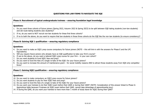### **Phase A: Recruitment of typical undergraduate trainees – ensuring foundation legal knowledge**

#### **Questions:**

- 1. Do you want three cohorts of future joiners (Spring 2022, Autumn 2022 & Spring 2023) to be split between SQE-taking students (non-law students) and old route-taking students (law students)?
- 2. If no, do you want to NOT recruit non-law students for these first three cohorts?
- 3. If no to both the above, do you want to require that law students in those three cohorts do the SQE like the non-law students (to ensure consistency)?

#### **Phase B: Gaining SQE 1 qualification – ensuring regulatory compliance**

### **Questions:**

- 4. Do you want to make an SQE1 prep course compulsory for future joiners (NOTE this will link-in with the answers for Phase E and the LPC Equivalents)
- 5. Will you require future joiners who already have an SQE qualification to take your firm's course?
- 6. If yes to the above, do you want a tailored SQE1 prep course for your firm in your own cohort?
- 7. Do you want students to fund SQE1 fees and prep?
- 8. Do you want to fund the fees of a single re-take of the SQE1 for your future joiners?
- 9. Do you want to increase the amount of maintenance grant for social mobility reasons AND to attract those students away from SQE-only competitor firms?

# **Phase C: Gaining SQE2 qualification – ensuring regulatory compliance**

### **Questions:**

- 10. Do you want to make compulsory an SQE2 prep course for future joiners?
- 11. Do you want students to pay for their SQE2 fees and prep?
- 12. Do you want to fund the fees of a single re-take of the SQE2 for your future joiners?
- 13. Do you want your trainees to do their SQE2 exam before their QWE or during their QWE? (NOTE: Consideration of this answer linked to Phase G: Apprentices table because if trainees do SQE2 exam before their QWE, cannot take advantage of apprenticeship levy)
- 14. If during the QWE, do you want your trainees to have more than 1 month of study leave for SQE2 during their QWE?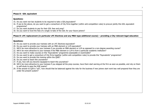# **Phase D: GDL equivalent**

# **Questions:**

- 15. Do you want non-law students to be required to take a GDL/equivalent?
- 16. If yes to the above, do you want to get a consortium of City firms together (within anti-competition rules) to procure jointly this GDL equivalent programme?
- 17. Do you want students to pay for their GDL fees and prep?
- 18. Do you want to fund the fees of a single re-take of the GDL for your future joiners?

# **Phase D: LPC replacement (in particular LPC Electives and any MBA-type additional course) – providing a City-relevant legal education**

# **Questions:**

- 19. Do you want to provide your trainees with an LPC Electives-equivalent?
- 20. Do you want to provide your trainees with an MBA element or LLM-equivalent?
- 21. Will it be more attractive to your trainees if you provide an MBA element or LLM as opposed to a non-degree awarding course?
- 22. Will it be more attractive to your trainees if the MBA element or LLM is from a particular academic institution?
- 23. Do you want to make courses on this "Equivalents" programme assessable or examinable?
- 24. Do you want to get a consortium of City firms together (within anti-competition rules) to provide this "Equivalents" programme?
- 25. Do you want to provide this training within the QWE?
- 26. Do you want to teach this yourselves?
- 27. If yes, how will you become equipped to teach this yourselves?
- 28. Will it be more attractive to your trainees if you skipped all the prep courses, have them start earning at the firm as soon as possible, and rely on them to self-study to pass the SQE exams?
- 29. If the answer to Q28 is "yes", how should that be balanced against the risks for the business if new joiners start work less well prepared than they are under the present system?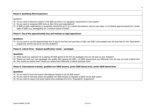# **Phase E: Qualifying Work Experience**

Questions:

- 30. Do you want to keep the rotation in the QWE (as there is no regulatory requirement to move seats)?
- 31. Do you want to recognise QWE done at other firms and organisations?
- 32. If QWE at other organisations is recognised, should this be (i) on a wholly discretionary case-by-case basis; or (ii) blanket approval granted for certain types of QWE (e.g. paralegalling for a minimum period of time)?

# **Phase F: Use of the apprenticeship levy and trainees as legal apprentices**

# **Questions:**

33. Do you want to use the apprenticeship levy to pay for the fees and prep fees of SQE1 and SQE2 (and possibly even the prep fees for the "Equivalents" programme and the top-up for non-law students)?

# **Phase G: Lateral hires - Atypical qualification routes – paralegals**

#### **Questions:**

- 34. What would your approach be to signing off QWE gained at the firm by paralegals who are not seen as your 'trainees'?
- 35. Should you treat your own paralegals who qualify after passing the SQE1, 2 & QWE requirements any differently from the way you treat a lateral hire?
- 36. How would you assess them? Would you assess them differently to lateral associate hires?

# **Phase H: International trainees, qualified non-E&W lawyers, junior E&W lateral hires, senior E&W lateral hires**

#### **Questions:**

37. Do you want to fund and require international trainees to do the SQE exams?

- 38. Do you want to fund and require all qualified non-E&W lawyers to requalify as E&W via the SQE exams?
- 39. Do you want to require that junior lateral hires undertake the firm's "Equivalents" programme?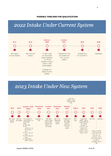# **POSSIBLE TIMELINES FOR QUALIFICATION**

# 2022 Intake Under Current System



# 2023 Intake Under New System

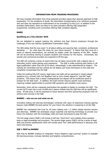#### **INFORMATION FROM TRAINING PROVIDERS**

We have included information from three potential providers about their planned approach to SQE preparation. For the avoidance of doubt, the information included below is for reference purposes only and does not represent an endorsement of any provider(s) by the CLLS. In addition to the providers listed below, there are likely to be other providers offering SQE preparation programmes, including some universities offering SQE compliant degrees.

# **BABRI**

# **Qualifying as a City solicitor 2020**

We are delighted to support aspiring City solicitors and their (future) employers through the challenges of the new Solicitor Qualification Examination (SQE).

The SRA states that the new exam "is all about setting and assuring high, consistent, professional standards …." So, what does this mean for your future lawyers? It means that they must sit a series of national examinations, set centrally by Kaplan under the auspices of the SRA. Kaplan will not be providing training to prepare students and trainees for the exams. Universities, law schools and commercial providers are expected to fill this gap.

The SQE will comprise a series of exams that may be taken concurrently with a degree (law or otherwise) and/or whilst gaining work experience. The SQE is unlike anything seen before in UK legal qualification (other than the QLTS which, interestingly, is also administered by Kaplan). The existing UK universities and law schools do not deploy such exam techniques on the scale and complexity incorporated into the SQE.

Unlike the existing GDL/LPC exams, legal topics and skills will be examined in mixed subject questions (e.g. contract with civil litigation) and so more closely aligned to "real-life" legal problems. This means that a classic undergraduate law degree will be insufficient alone to prepare for the SQE exam. In addition, the exam format requires specific exam technique requiring multiple opportunities to practise SQE questions and complete mock exams.

Remember, there will be a separate examination fee payable to Kaplan to complete the SQE. The current QLTS exam fee is over £4,000 and it seems unlikely that the SQE fees will be significantly lower. At that price, it will be important to future lawyers and their sponsoring employers that we achieve early success in the SQE.

# **BARBRI – who we are and what we do.**

Innovative testing and learning technologies combined with years of experience training aspiring lawyers make BARBRI the best partner for your future City solicitors in preparing to sit the SQE.

BARBRI has maintained that trust for 50 years helping over 1.3 million people become lawyers and attorneys. BARBRI has developed unique expertise and learning technology to provide your future City Solicitors with the knowledge, skills and exam techniques to pass the SQE.

The first stage exams (SQE1) will include 6 half-day "short-form" and multiple-choice question tests on legal knowledge and procedure. The second stage exams (SQE2) will be a series of legal skills and practice assessments which will include some "live" skills performances in advocacy and client interviewing.

# **SQE 1 PREP by BARBRI**

SQE Prep by BARBRI employs an integrated "Active Adaptive Legal Learning" system to expedite the learning process, increase retention and heighten comprehension.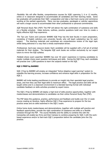Flexibility: We will offer flexible, comprehensive courses for SOE1 spanning 3, 6 or 12 months, online or in classroom designed to accommodate all candidates and their learning needs. Some law graduates will accelerate their SQE 1 preparation and take a fast-track course and commence working at the earliest opportunity. Many non-law graduates, paralegals or solicitor apprentices will want a longer course to accommodate their other professional or personal commitments.

SOE Personal Study Plan (PSP): The PSP will deliver the right combination of substance and skills on a flexible schedule. Video lectures, outlines, practice questions build over time to create a highly effective SQE Prep experience.

The Top Law Tutors and Lectures: BARBRI SOE Prep has the best faculty in exam preparation, consisting of English solicitors and university faculty who will teach substantive law for each subject. The teaching materials and workshops are comprehensive review of the legal topic whilst being delivered in a way that is wholly examination-driven.

Professional, hard-copy resource books: Each candidate will be supplied with a full set of printed materials for their studies. The bespoke SQE work books are written exclusively by our expert tutors to mirror the SQE syllabus.

Multiple-choice exam expertise: BARBRI has over 50 years' experience in training candidates to master multiple choice exam question techniques and skills. During the SQE Prep, each candidate will practise over 1,000 questions to learn the subjects tested on the SQE.

# **SQE 2 PREP by BARBRI**

SQE 2 Prep by BARBRI will employ an integrated "Active Adaptive Legal Learning" system to expedite the learning process, increase confidence and enhance legal skills in preparation for the SQE 2.

BARBRI will invite leading practitioners to provide an insight into their specialist legal practice areas, and how they use their legal skills to maximum effect. The legal practice and skills will be taught online and in a classroom environment in a blended learning format with individual candidate feedback on skills activities provided by expert tutors.

The SQE 2 Prep by BARBRI will deploy a high level of skills practice opportunities, together with masterclasses and demonstrations to candidates via their online Personal Study Plan (PSP).

The PSP takes this guidance, practice, performance and feedback and builds over the 12-week course creating an iterative, highly effective SQE 2 Prep experience to prepare for the two practice areas and six skills examined in the SQE 2 exam.

Online home study masterclasses and demonstrations, together with multiple self-practice and feedback opportunities, provide the right combination of substance and skills on a flexible schedule through the PSP. The course flexibility and the ability to combine this with the traineeship will enable law firms and their trainees to combine preparing for SQE 2 with the workbased experience and/or to fast-track SQE 2 preparation before the candidate joins the City practice.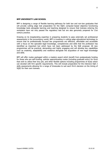### **BPP UNIVERSITY LAW SCHOOL**

BPP is designing a range of flexible learning pathways for both law and non-law graduates that will provide cutting edge test preparation for the SQE1 computer-based objective functioning knowledge tests alongside learning and teaching designed to ensure that trainees entering the workplace have not only passed the regulatory test but are also genuinely prepared for 21st century practice.

Drawing on its longstanding expertise in preparing students to pass externally set professional assessments in the accountancy world, BPP is investing in cutting edge educational technology to ensure that its professionally focused law programmes are effective, affordable and accessible with a focus on the specialist legal knowledge, competencies and skills that the profession has identified as important but which have not been addressed by the SQE proposal. All new programmes will be practical, demanding and highly engaging and will develop key capabilities such as creativity, adaptability and resilience alongside the acquisition of new legal knowledge and skills.

BPP will offer routes packaged within a masters award which benefit from postgraduate funding for those who are self-funding, solicitor apprenticeship routes (including graduate entry) for firms that wish to utilize their levy pot, and other flexible options including programmes of study which can dovetail with firm specific requirements. This will include preparation for the intensive SQE 2 skills assessments allowing for a range of timescales to suit each firm's decision on the timing of SQE2 for their own trainees.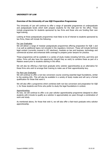#### **UNIVERSITY OF LAW**

#### **Overview of the University of Law SQE Preparation Programmes**

The University of Law will continue to offer a range of specialist programmes at undergraduate and postgraduate levels which both prepare students for the SQE and for the office. These include programmes for students sponsored by law firms and those who are funding their own legal training.

Looking at those postgraduate programmes most likely to be of interest to students sponsored by law firms, these will include the following:

#### For Law Graduates

We will deliver a range of modular postgraduate programmes offering preparation for SQE 1 and 2 as well as additional topics not included in the regulatory minimum. These will include technical legal content (currently covered in LPC electives), modules on law and business, technology and commercial acumen and enhanced skills coverage to prepare junior lawyers for practice.

These programmes will be available in a variety of study modes including full-time, part-time and online. Firms will also have the opportunity (should they so wish) to combine these as part of a Masters award prior to students starting in the office.

We will also be offering a fast-track graduate entry solicitor apprenticeship as an alternative for those firms who wish to arrange their training to make use of their apprenticeship levy.

#### For Non-Law Graduates

We will continue to offer a non-law conversion course covering essential legal foundations, similar to the existing GDL. This will also be available in a variety of study modes and will carry a formal qualification for those that want it.

We will also offer a programme which combines both non-law conversion and preparation for SQE 1, for those students and firms who prefer to study the legal foundations in context.

#### Apprenticeships

As now, we will continue to offer a six year solicitor apprenticeship programme designed to allow students with A-levels to qualify as a solicitor in approximately six years through a combination of work and study.

As mentioned above, for those that wish it, we will also offer a fast-track graduate entry solicitor apprenticeship.